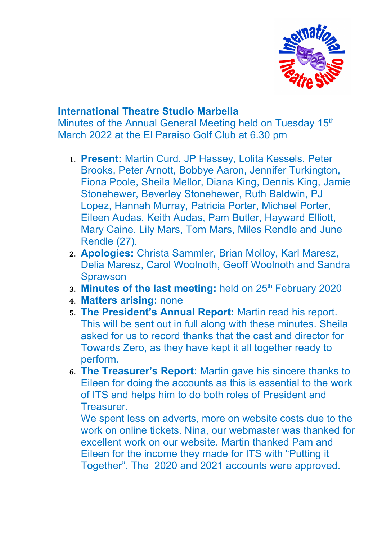

## **International Theatre Studio Marbella**

Minutes of the Annual General Meeting held on Tuesday 15<sup>th</sup> March 2022 at the El Paraiso Golf Club at 6.30 pm

- **1. Present:** Martin Curd, JP Hassey, Lolita Kessels, Peter Brooks, Peter Arnott, Bobbye Aaron, Jennifer Turkington, Fiona Poole, Sheila Mellor, Diana King, Dennis King, Jamie Stonehewer, Beverley Stonehewer, Ruth Baldwin, PJ Lopez, Hannah Murray, Patricia Porter, Michael Porter, Eileen Audas, Keith Audas, Pam Butler, Hayward Elliott, Mary Caine, Lily Mars, Tom Mars, Miles Rendle and June Rendle (27).
- **2. Apologies:** Christa Sammler, Brian Molloy, Karl Maresz, Delia Maresz, Carol Woolnoth, Geoff Woolnoth and Sandra **Sprawson**
- **3. Minutes of the last meeting:** held on 25<sup>th</sup> February 2020
- **4. Matters arising:** none
- **5. The President's Annual Report:** Martin read his report. This will be sent out in full along with these minutes. Sheila asked for us to record thanks that the cast and director for Towards Zero, as they have kept it all together ready to perform.
- **6. The Treasurer's Report:** Martin gave his sincere thanks to Eileen for doing the accounts as this is essential to the work of ITS and helps him to do both roles of President and Treasurer.

We spent less on adverts, more on website costs due to the work on online tickets. Nina, our webmaster was thanked for excellent work on our website. Martin thanked Pam and Eileen for the income they made for ITS with "Putting it Together". The 2020 and 2021 accounts were approved.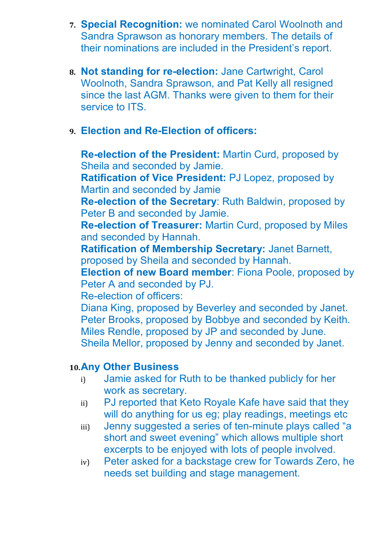- **7. Special Recognition:** we nominated Carol Woolnoth and Sandra Sprawson as honorary members. The details of their nominations are included in the President's report.
- **8. Not standing for re-election:** Jane Cartwright, Carol Woolnoth, Sandra Sprawson, and Pat Kelly all resigned since the last AGM. Thanks were given to them for their service to ITS.
- **9. Election and Re-Election of officers:**

**Re-election of the President:** Martin Curd, proposed by Sheila and seconded by Jamie.

**Ratification of Vice President:** PJ Lopez, proposed by Martin and seconded by Jamie

**Re-election of the Secretary**: Ruth Baldwin, proposed by Peter B and seconded by Jamie.

**Re-election of Treasurer:** Martin Curd, proposed by Miles and seconded by Hannah.

**Ratification of Membership Secretary:** Janet Barnett, proposed by Sheila and seconded by Hannah.

**Election of new Board member**: Fiona Poole, proposed by Peter A and seconded by PJ.

Re-election of officers:

Diana King, proposed by Beverley and seconded by Janet. Peter Brooks, proposed by Bobbye and seconded by Keith. Miles Rendle, proposed by JP and seconded by June. Sheila Mellor, proposed by Jenny and seconded by Janet.

## **10.Any Other Business**

- i) Jamie asked for Ruth to be thanked publicly for her work as secretary.
- ii) PJ reported that Keto Royale Kafe have said that they will do anything for us eg; play readings, meetings etc
- iii) Jenny suggested a series of ten-minute plays called "a short and sweet evening" which allows multiple short excerpts to be enjoyed with lots of people involved.
- iv) Peter asked for a backstage crew for Towards Zero, he needs set building and stage management.